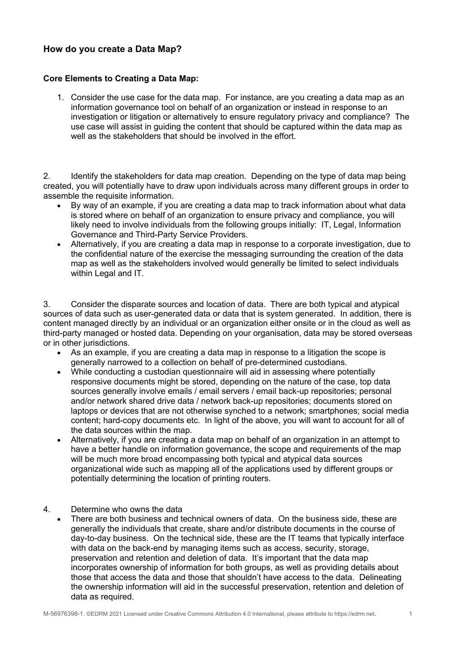## **How do you create a Data Map?**

## **Core Elements to Creating a Data Map:**

1. Consider the use case for the data map. For instance, are you creating a data map as an information governance tool on behalf of an organization or instead in response to an investigation or litigation or alternatively to ensure regulatory privacy and compliance? The use case will assist in guiding the content that should be captured within the data map as well as the stakeholders that should be involved in the effort.

2. Identify the stakeholders for data map creation. Depending on the type of data map being created, you will potentially have to draw upon individuals across many different groups in order to assemble the requisite information.

- By way of an example, if you are creating a data map to track information about what data is stored where on behalf of an organization to ensure privacy and compliance, you will likely need to involve individuals from the following groups initially: IT, Legal, Information Governance and Third-Party Service Providers.
- Alternatively, if you are creating a data map in response to a corporate investigation, due to the confidential nature of the exercise the messaging surrounding the creation of the data map as well as the stakeholders involved would generally be limited to select individuals within Legal and IT.

3. Consider the disparate sources and location of data. There are both typical and atypical sources of data such as user-generated data or data that is system generated. In addition, there is content managed directly by an individual or an organization either onsite or in the cloud as well as third-party managed or hosted data. Depending on your organisation, data may be stored overseas or in other jurisdictions.

- As an example, if you are creating a data map in response to a litigation the scope is generally narrowed to a collection on behalf of pre-determined custodians.
- While conducting a custodian questionnaire will aid in assessing where potentially responsive documents might be stored, depending on the nature of the case, top data sources generally involve emails / email servers / email back-up repositories; personal and/or network shared drive data / network back-up repositories; documents stored on laptops or devices that are not otherwise synched to a network; smartphones; social media content; hard-copy documents etc. In light of the above, you will want to account for all of the data sources within the map.
- Alternatively, if you are creating a data map on behalf of an organization in an attempt to have a better handle on information governance, the scope and requirements of the map will be much more broad encompassing both typical and atypical data sources organizational wide such as mapping all of the applications used by different groups or potentially determining the location of printing routers.

## 4. Determine who owns the data

There are both business and technical owners of data. On the business side, these are generally the individuals that create, share and/or distribute documents in the course of day-to-day business. On the technical side, these are the IT teams that typically interface with data on the back-end by managing items such as access, security, storage, preservation and retention and deletion of data. It's important that the data map incorporates ownership of information for both groups, as well as providing details about those that access the data and those that shouldn't have access to the data. Delineating the ownership information will aid in the successful preservation, retention and deletion of data as required.